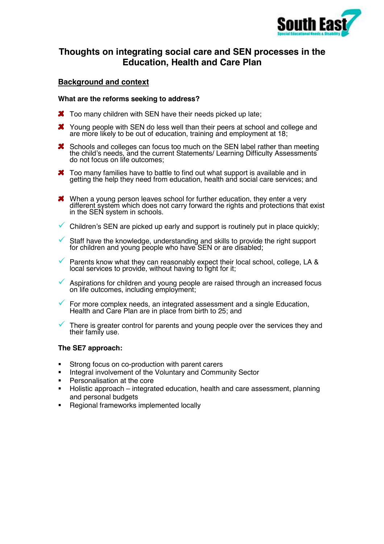

# **Thoughts on integrating social care and SEN processes in the Education, Health and Care Plan**

## **Background and context**

#### **What are the reforms seeking to address?**

- **X** Too many children with SEN have their needs picked up late:
- X Young people with SEN do less well than their peers at school and college and are more likely to be out of education, training and employment at 18;
- **X** Schools and colleges can focus too much on the SEN label rather than meeting the child's needs, and the current Statements/ Learning Difficulty Assessments do not focus on life outcomes:
- **X** Too many families have to battle to find out what support is available and in getting the help they need from education, health and social care services; and
- When a young person leaves school for further education, they enter a very different system which does not carry forward the rights and protections that exist in the SEN system in schools.
- $\checkmark$  Children's SEN are picked up early and support is routinely put in place quickly;
- $\checkmark$  Staff have the knowledge, understanding and skills to provide the right support for children and young people who have SEN or are disabled;
- $\checkmark$  Parents know what they can reasonably expect their local school, college, LA & local services to provide, without having to fight for it;
- $\checkmark$  Aspirations for children and young people are raised through an increased focus on life outcomes, including employment;
- ! For more complex needs, an integrated assessment and a single Education, Health and Care Plan are in place from birth to 25; and
- There is greater control for parents and young people over the services they and their family use.

#### **The SE7 approach:**

- " Strong focus on co-production with parent carers
- **EXECTE Integral involvement of the Voluntary and Community Sector**
- **•** Personalisation at the core
- " Holistic approach integrated education, health and care assessment, planning and personal budgets
- Regional frameworks implemented locally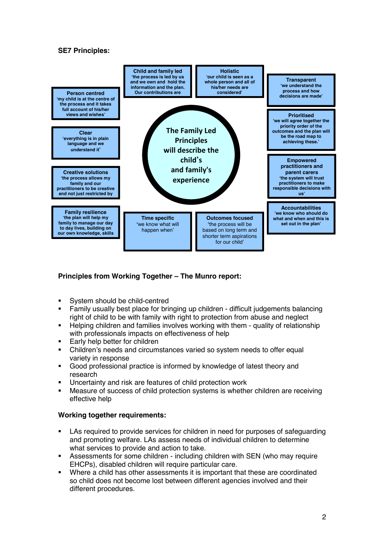### **SE7 Principles:**



### **Principles from Working Together – The Munro report:**

- " System should be child-centred
- " Family usually best place for bringing up children difficult judgements balancing right of child to be with family with right to protection from abuse and neglect
- " Helping children and families involves working with them quality of relationship with professionals impacts on effectiveness of help
- **Early help better for children**
- " Children's needs and circumstances varied so system needs to offer equal variety in response
- " Good professional practice is informed by knowledge of latest theory and research
- " Uncertainty and risk are features of child protection work
- Measure of success of child protection systems is whether children are receiving effective help

### **Working together requirements:**

- LAs required to provide services for children in need for purposes of safeguarding and promoting welfare. LAs assess needs of individual children to determine what services to provide and action to take.
- " Assessments for some children including children with SEN (who may require EHCPs), disabled children will require particular care.
- " Where a child has other assessments it is important that these are coordinated so child does not become lost between different agencies involved and their different procedures.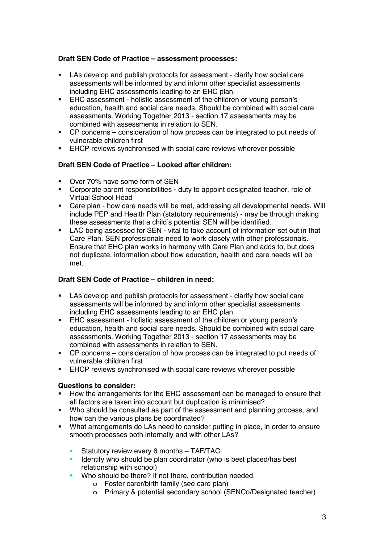### **Draft SEN Code of Practice – assessment processes:**

- " LAs develop and publish protocols for assessment clarify how social care assessments will be informed by and inform other specialist assessments including EHC assessments leading to an EHC plan.
- EHC assessment holistic assessment of the children or young person's education, health and social care needs. Should be combined with social care assessments. Working Together 2013 - section 17 assessments may be combined with assessments in relation to SEN.
- " CP concerns consideration of how process can be integrated to put needs of vulnerable children first
- **EHCP reviews synchronised with social care reviews wherever possible**

### **Draft SEN Code of Practice – Looked after children:**

- " Over 70% have some form of SEN
- " Corporate parent responsibilities duty to appoint designated teacher, role of Virtual School Head
- " Care plan how care needs will be met, addressing all developmental needs. Will include PEP and Health Plan (statutory requirements) - may be through making these assessments that a child's potential SEN will be identified.
- LAC being assessed for SEN vital to take account of information set out in that Care Plan. SEN professionals need to work closely with other professionals. Ensure that EHC plan works in harmony with Care Plan and adds to, but does not duplicate, information about how education, health and care needs will be met.

### **Draft SEN Code of Practice – children in need:**

- LAs develop and publish protocols for assessment clarify how social care assessments will be informed by and inform other specialist assessments including EHC assessments leading to an EHC plan.
- **EHC assessment holistic assessment of the children or young person's** education, health and social care needs. Should be combined with social care assessments. Working Together 2013 - section 17 assessments may be combined with assessments in relation to SEN.
- " CP concerns consideration of how process can be integrated to put needs of vulnerable children first
- **EHCP reviews synchronised with social care reviews wherever possible**

#### **Questions to consider:**

- " How the arrangements for the EHC assessment can be managed to ensure that all factors are taken into account but duplication is minimised?
- " Who should be consulted as part of the assessment and planning process, and how can the various plans be coordinated?
- " What arrangements do LAs need to consider putting in place, in order to ensure smooth processes both internally and with other LAs?
	- " Statutory review every 6 months TAF/TAC
	- Identify who should be plan coordinator (who is best placed/has best relationship with school)
	- Who should be there? If not there, contribution needed
		- o Foster carer/birth family (see care plan)
		- o Primary & potential secondary school (SENCo/Designated teacher)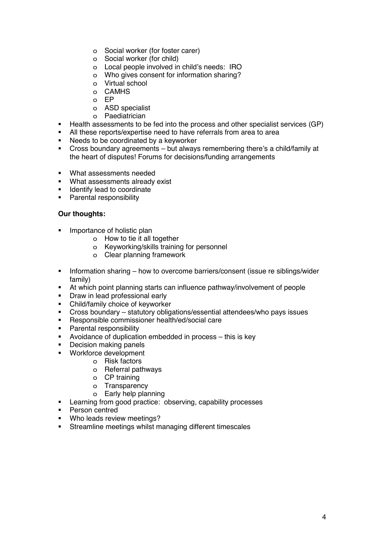- o Social worker (for foster carer)
- o Social worker (for child)
- o Local people involved in child's needs: IRO
- o Who gives consent for information sharing?
- o Virtual school
- o CAMHS
- o EP
- o ASD specialist
- o Paediatrician
- " Health assessments to be fed into the process and other specialist services (GP)
- " All these reports/expertise need to have referrals from area to area
- " Needs to be coordinated by a keyworker
- " Cross boundary agreements but always remembering there's a child/family at the heart of disputes! Forums for decisions/funding arrangements
- " What assessments needed
- " What assessments already exist
- " Identify lead to coordinate
- **•** Parental responsibility

### **Our thoughts:**

- Importance of holistic plan
	- o How to tie it all together
	- o Keyworking/skills training for personnel
	- o Clear planning framework
- **•** Information sharing how to overcome barriers/consent (issue re siblings/wider family)
- " At which point planning starts can influence pathway/involvement of people
- **•** Draw in lead professional early
- " Child/family choice of keyworker
- " Cross boundary statutory obligations/essential attendees/who pays issues
- " Responsible commissioner health/ed/social care
- **•** Parental responsibility
- " Avoidance of duplication embedded in process this is key
- **•** Decision making panels
- " Workforce development
	- o Risk factors
	- o Referral pathways
	- o CP training
	- o Transparency
	- o Early help planning
- " Learning from good practice: observing, capability processes
- **•** Person centred
- " Who leads review meetings?
- **EXECUTE:** Streamline meetings whilst managing different timescales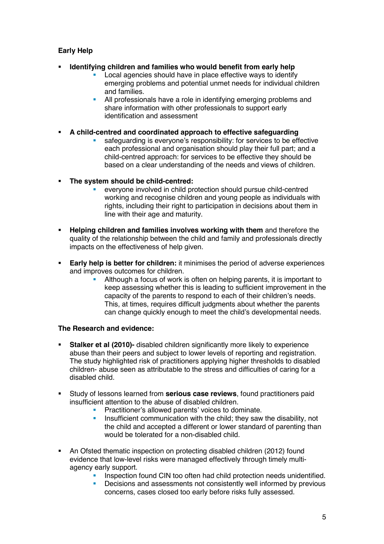# **Early Help**

### " **Identifying children and families who would benefit from early help**

- Local agencies should have in place effective ways to identify emerging problems and potential unmet needs for individual children and families.
- **All professionals have a role in identifying emerging problems and** share information with other professionals to support early identification and assessment
- " **A child-centred and coordinated approach to effective safeguarding**
	- safeguarding is everyone's responsibility: for services to be effective each professional and organisation should play their full part; and a child-centred approach: for services to be effective they should be based on a clear understanding of the needs and views of children.
- " **The system should be child-centred:** 
	- everyone involved in child protection should pursue child-centred working and recognise children and young people as individuals with rights, including their right to participation in decisions about them in line with their age and maturity.
- " **Helping children and families involves working with them** and therefore the quality of the relationship between the child and family and professionals directly impacts on the effectiveness of help given.
- **Early help is better for children:** it minimises the period of adverse experiences and improves outcomes for children.
	- " Although a focus of work is often on helping parents, it is important to keep assessing whether this is leading to sufficient improvement in the capacity of the parents to respond to each of their children's needs. This, at times, requires difficult judgments about whether the parents can change quickly enough to meet the child's developmental needs.

### **The Research and evidence:**

- **Stalker et al (2010)-** disabled children significantly more likely to experience abuse than their peers and subject to lower levels of reporting and registration. The study highlighted risk of practitioners applying higher thresholds to disabled children- abuse seen as attributable to the stress and difficulties of caring for a disabled child.
- " Study of lessons learned from **serious case reviews**, found practitioners paid insufficient attention to the abuse of disabled children.
	- **•** Practitioner's allowed parents' voices to dominate.
	- **EXECT** Insufficient communication with the child; they saw the disability, not the child and accepted a different or lower standard of parenting than would be tolerated for a non-disabled child.
- " An Ofsted thematic inspection on protecting disabled children (2012) found evidence that low-level risks were managed effectively through timely multiagency early support.
	- **EXECT** Inspection found CIN too often had child protection needs unidentified.
	- " Decisions and assessments not consistently well informed by previous concerns, cases closed too early before risks fully assessed.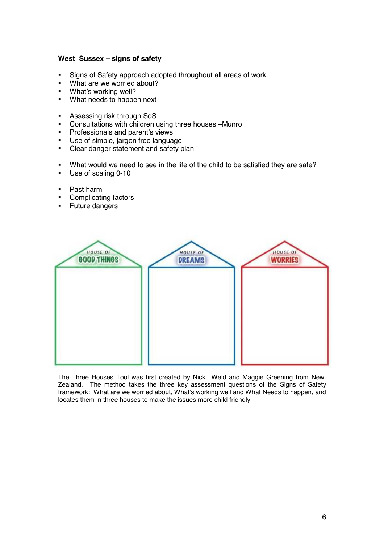#### **West Sussex – signs of safety**

- Signs of Safety approach adopted throughout all areas of work<br>What are we worried about?
- What are we worried about?
- " What's working well?
- " What needs to happen next
- **EXECUTE:** Assessing risk through SoS
- " Consultations with children using three houses –Munro
- **Professionals and parent's views**
- " Use of simple, jargon free language
- " Clear danger statement and safety plan
- " What would we need to see in the life of the child to be satisfied they are safe?
- " Use of scaling 0-10
- " Past harm
- " Complicating factors
- **Euture dangers**



The Three Houses Tool was first created by Nicki Weld and Maggie Greening from New Zealand. The method takes the three key assessment questions of the Signs of Safety framework: What are we worried about, What's working well and What Needs to happen, and locates them in three houses to make the issues more child friendly.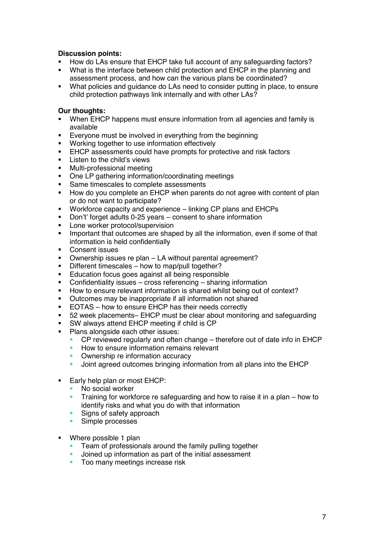### **Discussion points:**

- How do LAs ensure that EHCP take full account of any safeguarding factors?
- " What is the interface between child protection and EHCP in the planning and assessment process, and how can the various plans be coordinated?
- " What policies and guidance do LAs need to consider putting in place, to ensure child protection pathways link internally and with other LAs?

### **Our thoughts:**

- When EHCP happens must ensure information from all agencies and family is available
- **Exeryone must be involved in everything from the beginning**
- " Working together to use information effectively
- **EHCP** assessments could have prompts for protective and risk factors
- **EXECUTE:** Listen to the child's views
- " Multi-professional meeting
- " One LP gathering information/coordinating meetings
- **Same timescales to complete assessments**
- " How do you complete an EHCP when parents do not agree with content of plan or do not want to participate?
- " Workforce capacity and experience linking CP plans and EHCPs
- " Don't' forget adults 0-25 years consent to share information
- **EXEC** Lone worker protocol/supervision
- **IMPORTANTY** Important that outcomes are shaped by all the information, even if some of that information is held confidentially
- **•** Consent issues
- " Ownership issues re plan LA without parental agreement?
- " Different timescales how to map/pull together?
- **Education focus goes against all being responsible**
- " Confidentiality issues cross referencing sharing information
- " How to ensure relevant information is shared whilst being out of context?
- " Outcomes may be inappropriate if all information not shared
- **EOTAS** how to ensure EHCP has their needs correctly<br> **EXPLOMED HOMEOGET CONTENT** must be clear about monitor
- " 52 week placements– EHCP must be clear about monitoring and safeguarding
- " SW always attend EHCP meeting if child is CP
- Plans alongside each other issues:
	- CP reviewed regularly and often change therefore out of date info in EHCP
	- How to ensure information remains relevant
	- Ownership re information accuracy
	- " Joint agreed outcomes bringing information from all plans into the EHCP
- **Early help plan or most EHCP:** 
	- No social worker
	- Training for workforce re safeguarding and how to raise it in a plan how to identify risks and what you do with that information
	- **Signs of safety approach**
	- **Simple processes**
- Where possible 1 plan
	- **Team of professionals around the family pulling together**
	- " Joined up information as part of the initial assessment
	- **Too many meetings increase risk**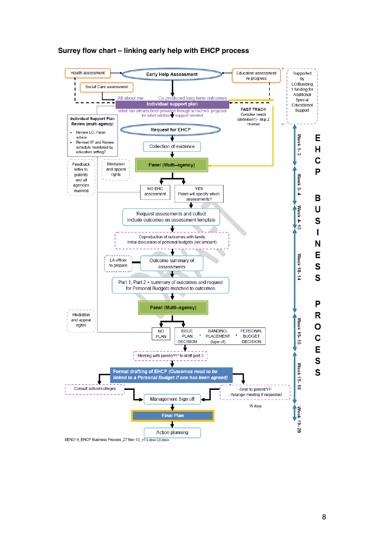

#### **Surrey flow chart – linking early help with EHCP process**